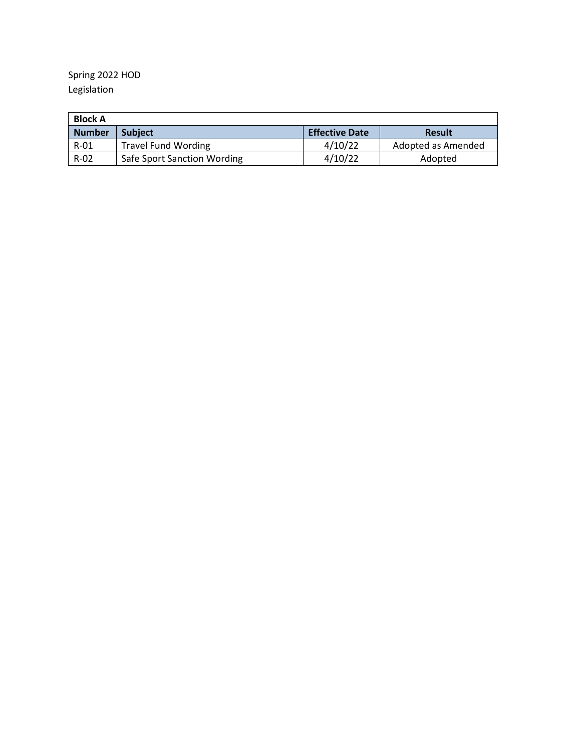Spring 2022 HOD Legislation

| <b>Block A</b> |                             |                       |                    |  |  |
|----------------|-----------------------------|-----------------------|--------------------|--|--|
| <b>Number</b>  | <b>Subject</b>              | <b>Effective Date</b> | <b>Result</b>      |  |  |
| $R-01$         | <b>Travel Fund Wording</b>  | 4/10/22               | Adopted as Amended |  |  |
| $R-02$         | Safe Sport Sanction Wording | 4/10/22               | Adopted            |  |  |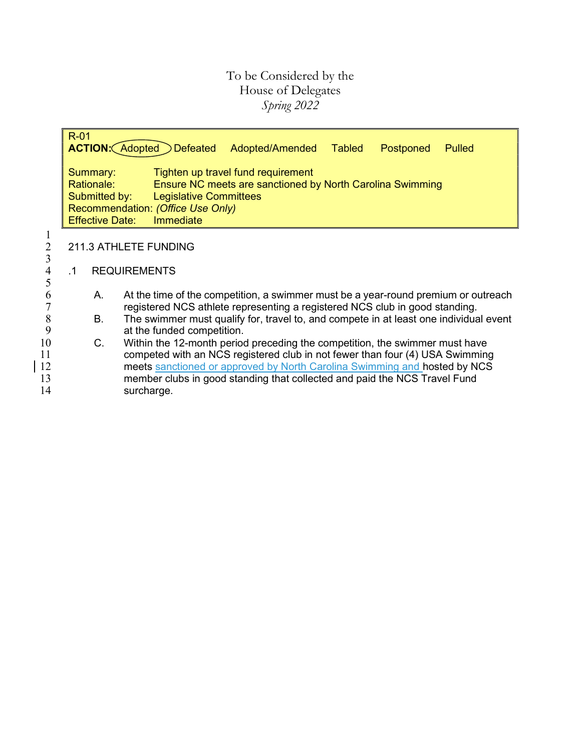## To be Considered by the House of Delegates Spring 2022

|                               | $R-01$                |                                                                                                                                                                                                                                                                                                      | <b>ACTION:</b> Adopted<br><b>Defeated</b><br>Adopted/Amended<br><b>Tabled</b><br>Postponed<br>Pulled                                                                                                                                                                                                                                |  |  |
|-------------------------------|-----------------------|------------------------------------------------------------------------------------------------------------------------------------------------------------------------------------------------------------------------------------------------------------------------------------------------------|-------------------------------------------------------------------------------------------------------------------------------------------------------------------------------------------------------------------------------------------------------------------------------------------------------------------------------------|--|--|
|                               |                       | Summary:<br>Rationale:<br>Submitted by:<br><b>Effective Date:</b>                                                                                                                                                                                                                                    | Tighten up travel fund requirement<br>Ensure NC meets are sanctioned by North Carolina Swimming<br><b>Legislative Committees</b><br>Recommendation: (Office Use Only)<br>Immediate                                                                                                                                                  |  |  |
| $\overline{2}$<br>3           | 211.3 ATHLETE FUNDING |                                                                                                                                                                                                                                                                                                      |                                                                                                                                                                                                                                                                                                                                     |  |  |
| $\overline{4}$<br>5           | $\cdot$ 1             |                                                                                                                                                                                                                                                                                                      | <b>REQUIREMENTS</b>                                                                                                                                                                                                                                                                                                                 |  |  |
| 6<br>$\overline{7}$<br>8<br>9 |                       | At the time of the competition, a swimmer must be a year-round premium or outreach<br>А.<br>registered NCS athlete representing a registered NCS club in good standing.<br>The swimmer must qualify for, travel to, and compete in at least one individual event<br>В.<br>at the funded competition. |                                                                                                                                                                                                                                                                                                                                     |  |  |
| 10<br>11<br>12<br>13<br>14    |                       | C.                                                                                                                                                                                                                                                                                                   | Within the 12-month period preceding the competition, the swimmer must have<br>competed with an NCS registered club in not fewer than four (4) USA Swimming<br>meets sanctioned or approved by North Carolina Swimming and hosted by NCS<br>member clubs in good standing that collected and paid the NCS Travel Fund<br>surcharge. |  |  |